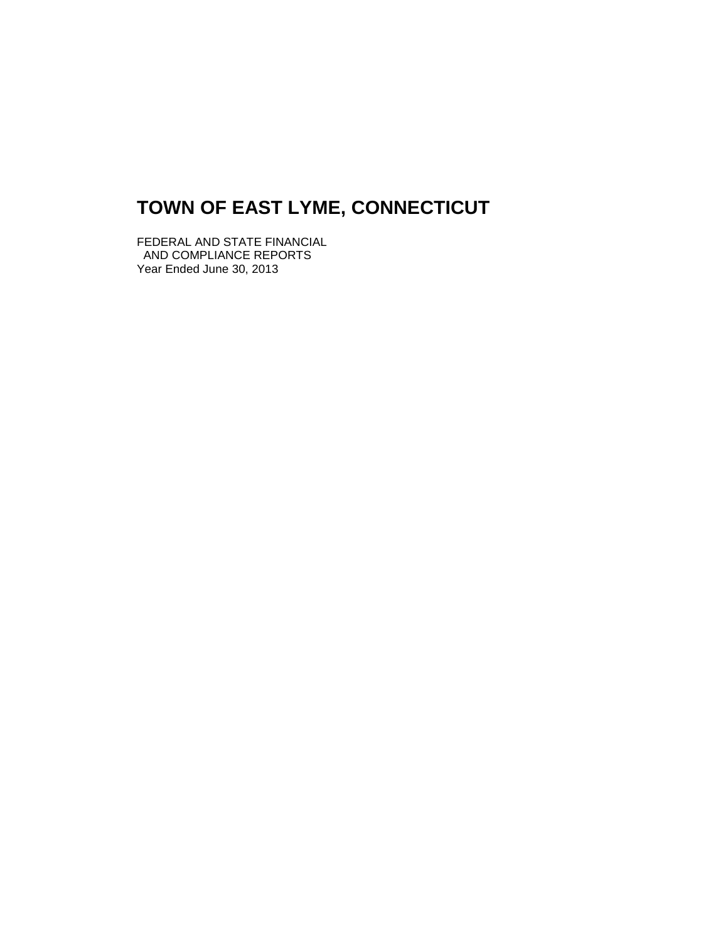FEDERAL AND STATE FINANCIAL AND COMPLIANCE REPORTS Year Ended June 30, 2013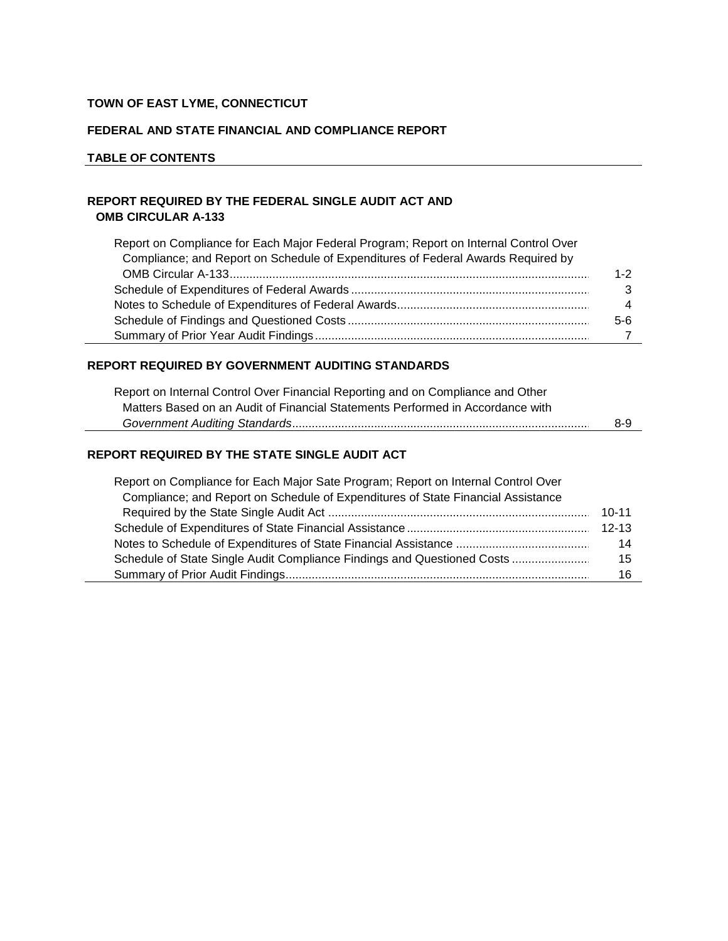# **FEDERAL AND STATE FINANCIAL AND COMPLIANCE REPORT**

# **TABLE OF CONTENTS**

# **REPORT REQUIRED BY THE FEDERAL SINGLE AUDIT ACT AND OMB CIRCULAR A-133**

| Report on Compliance for Each Major Federal Program; Report on Internal Control Over |     |
|--------------------------------------------------------------------------------------|-----|
| Compliance; and Report on Schedule of Expenditures of Federal Awards Required by     |     |
|                                                                                      | 1-2 |
|                                                                                      |     |
|                                                                                      | 4   |
|                                                                                      | 5-6 |
|                                                                                      |     |

# **REPORT REQUIRED BY GOVERNMENT AUDITING STANDARDS**

| Report on Internal Control Over Financial Reporting and on Compliance and Other |     |
|---------------------------------------------------------------------------------|-----|
| Matters Based on an Audit of Financial Statements Performed in Accordance with  |     |
|                                                                                 | 8-9 |

# **REPORT REQUIRED BY THE STATE SINGLE AUDIT ACT**

| Report on Compliance for Each Major Sate Program; Report on Internal Control Over |           |
|-----------------------------------------------------------------------------------|-----------|
| Compliance; and Report on Schedule of Expenditures of State Financial Assistance  |           |
|                                                                                   | $10 - 11$ |
|                                                                                   | $12 - 13$ |
|                                                                                   | 14        |
| Schedule of State Single Audit Compliance Findings and Questioned Costs           | 15        |
|                                                                                   | 16        |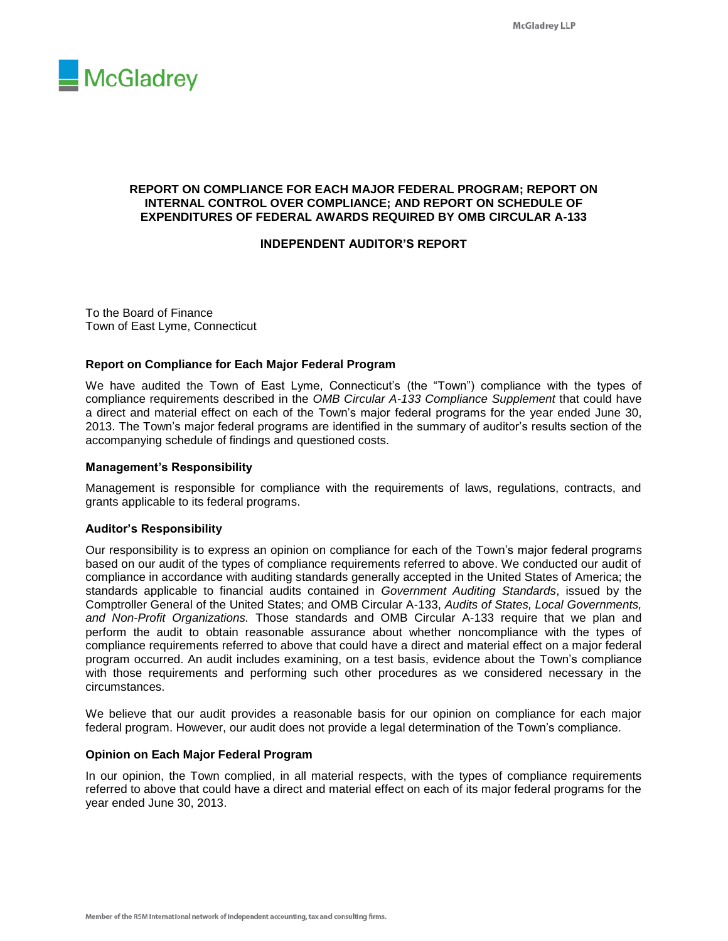

## **REPORT ON COMPLIANCE FOR EACH MAJOR FEDERAL PROGRAM; REPORT ON INTERNAL CONTROL OVER COMPLIANCE; AND REPORT ON SCHEDULE OF EXPENDITURES OF FEDERAL AWARDS REQUIRED BY OMB CIRCULAR A-133**

# **INDEPENDENT AUDITOR'S REPORT**

To the Board of Finance Town of East Lyme, Connecticut

#### **Report on Compliance for Each Major Federal Program**

We have audited the Town of East Lyme, Connecticut's (the "Town") compliance with the types of compliance requirements described in the *OMB Circular A-133 Compliance Supplement* that could have a direct and material effect on each of the Town's major federal programs for the year ended June 30, 2013. The Town's major federal programs are identified in the summary of auditor's results section of the accompanying schedule of findings and questioned costs.

#### **Management's Responsibility**

Management is responsible for compliance with the requirements of laws, regulations, contracts, and grants applicable to its federal programs.

#### **Auditor's Responsibility**

Our responsibility is to express an opinion on compliance for each of the Town's major federal programs based on our audit of the types of compliance requirements referred to above. We conducted our audit of compliance in accordance with auditing standards generally accepted in the United States of America; the standards applicable to financial audits contained in *Government Auditing Standards*, issued by the Comptroller General of the United States; and OMB Circular A-133, *Audits of States, Local Governments, and Non-Profit Organizations.* Those standards and OMB Circular A-133 require that we plan and perform the audit to obtain reasonable assurance about whether noncompliance with the types of compliance requirements referred to above that could have a direct and material effect on a major federal program occurred. An audit includes examining, on a test basis, evidence about the Town's compliance with those requirements and performing such other procedures as we considered necessary in the circumstances.

We believe that our audit provides a reasonable basis for our opinion on compliance for each major federal program. However, our audit does not provide a legal determination of the Town's compliance.

#### **Opinion on Each Major Federal Program**

In our opinion, the Town complied, in all material respects, with the types of compliance requirements referred to above that could have a direct and material effect on each of its major federal programs for the year ended June 30, 2013.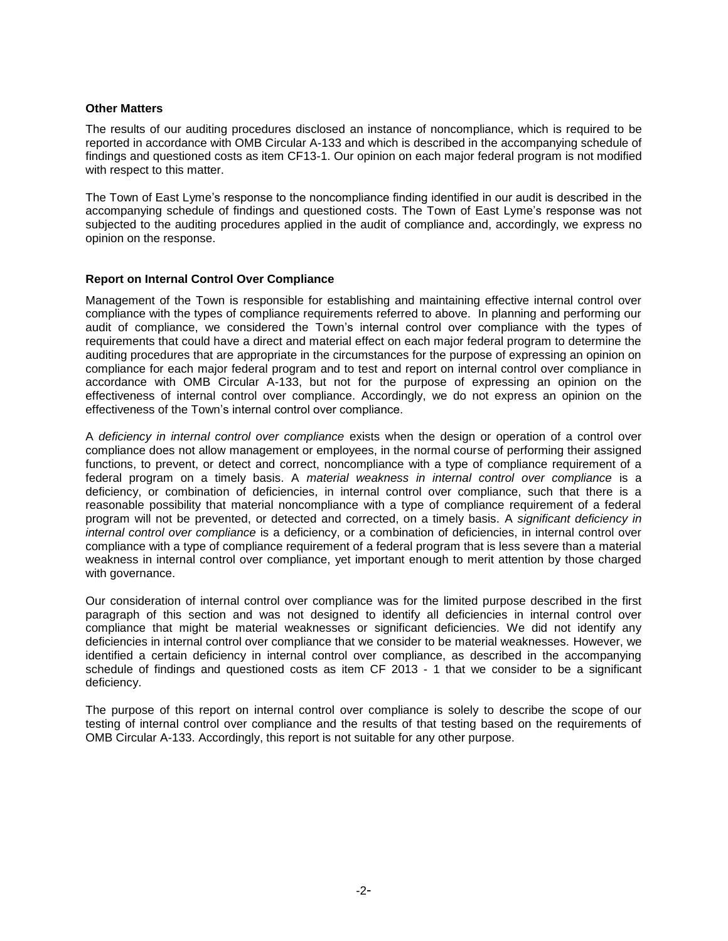## **Other Matters**

The results of our auditing procedures disclosed an instance of noncompliance, which is required to be reported in accordance with OMB Circular A-133 and which is described in the accompanying schedule of findings and questioned costs as item CF13-1. Our opinion on each major federal program is not modified with respect to this matter.

The Town of East Lyme's response to the noncompliance finding identified in our audit is described in the accompanying schedule of findings and questioned costs. The Town of East Lyme's response was not subjected to the auditing procedures applied in the audit of compliance and, accordingly, we express no opinion on the response.

#### **Report on Internal Control Over Compliance**

Management of the Town is responsible for establishing and maintaining effective internal control over compliance with the types of compliance requirements referred to above. In planning and performing our audit of compliance, we considered the Town's internal control over compliance with the types of requirements that could have a direct and material effect on each major federal program to determine the auditing procedures that are appropriate in the circumstances for the purpose of expressing an opinion on compliance for each major federal program and to test and report on internal control over compliance in accordance with OMB Circular A-133, but not for the purpose of expressing an opinion on the effectiveness of internal control over compliance. Accordingly, we do not express an opinion on the effectiveness of the Town's internal control over compliance.

A *deficiency in internal control over compliance* exists when the design or operation of a control over compliance does not allow management or employees, in the normal course of performing their assigned functions, to prevent, or detect and correct, noncompliance with a type of compliance requirement of a federal program on a timely basis. A *material weakness in internal control over compliance* is a deficiency, or combination of deficiencies, in internal control over compliance, such that there is a reasonable possibility that material noncompliance with a type of compliance requirement of a federal program will not be prevented, or detected and corrected, on a timely basis. A *significant deficiency in internal control over compliance* is a deficiency, or a combination of deficiencies, in internal control over compliance with a type of compliance requirement of a federal program that is less severe than a material weakness in internal control over compliance, yet important enough to merit attention by those charged with governance.

Our consideration of internal control over compliance was for the limited purpose described in the first paragraph of this section and was not designed to identify all deficiencies in internal control over compliance that might be material weaknesses or significant deficiencies. We did not identify any deficiencies in internal control over compliance that we consider to be material weaknesses. However, we identified a certain deficiency in internal control over compliance, as described in the accompanying schedule of findings and questioned costs as item CF 2013 - 1 that we consider to be a significant deficiency.

The purpose of this report on internal control over compliance is solely to describe the scope of our testing of internal control over compliance and the results of that testing based on the requirements of OMB Circular A-133. Accordingly, this report is not suitable for any other purpose.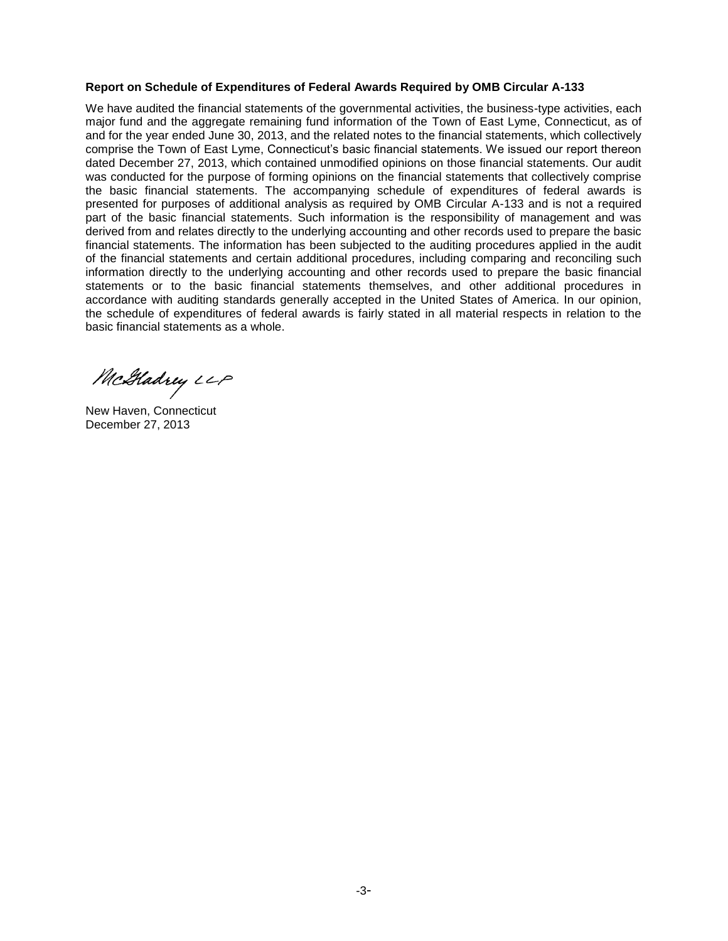#### **Report on Schedule of Expenditures of Federal Awards Required by OMB Circular A-133**

We have audited the financial statements of the governmental activities, the business-type activities, each major fund and the aggregate remaining fund information of the Town of East Lyme, Connecticut, as of and for the year ended June 30, 2013, and the related notes to the financial statements, which collectively comprise the Town of East Lyme, Connecticut's basic financial statements. We issued our report thereon dated December 27, 2013, which contained unmodified opinions on those financial statements. Our audit was conducted for the purpose of forming opinions on the financial statements that collectively comprise the basic financial statements. The accompanying schedule of expenditures of federal awards is presented for purposes of additional analysis as required by OMB Circular A-133 and is not a required part of the basic financial statements. Such information is the responsibility of management and was derived from and relates directly to the underlying accounting and other records used to prepare the basic financial statements. The information has been subjected to the auditing procedures applied in the audit of the financial statements and certain additional procedures, including comparing and reconciling such information directly to the underlying accounting and other records used to prepare the basic financial statements or to the basic financial statements themselves, and other additional procedures in accordance with auditing standards generally accepted in the United States of America. In our opinion, the schedule of expenditures of federal awards is fairly stated in all material respects in relation to the basic financial statements as a whole.

McGladrey LLP

New Haven, Connecticut December 27, 2013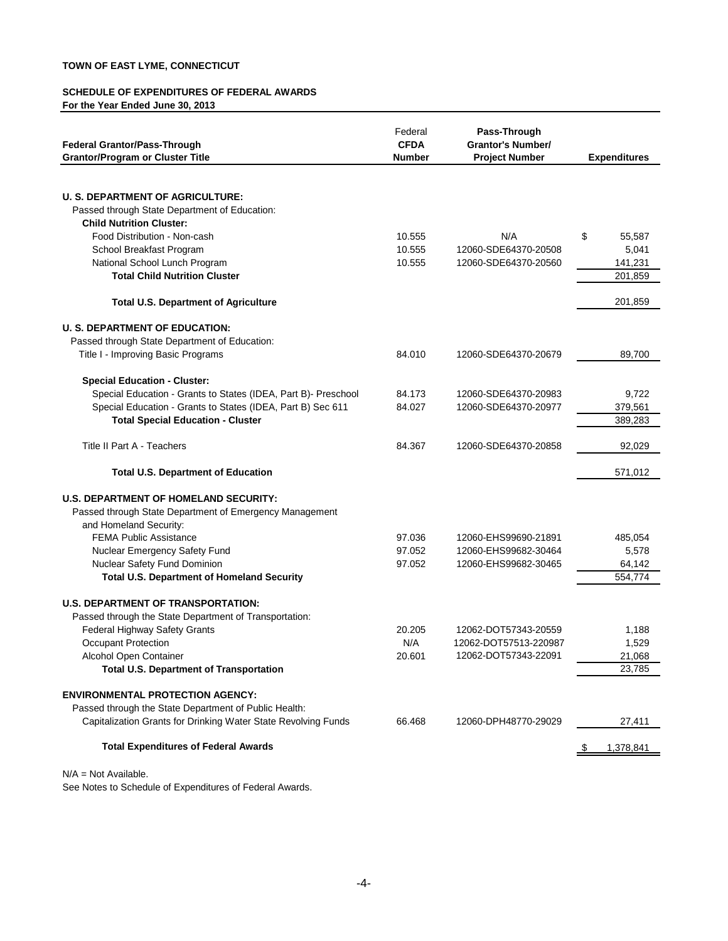#### **SCHEDULE OF EXPENDITURES OF FEDERAL AWARDS For the Year Ended June 30, 2013**

Federal **Pass-Through Federal Grantor/Pass-Through CFDA Grantor's Number/ Grantor/Program or Cluster Title Number Project Number Expenditures U. S. DEPARTMENT OF AGRICULTURE:** Passed through State Department of Education: **Child Nutrition Cluster:** Food Distribution - Non-cash 10.555 N/A \$ 55,587 School Breakfast Program 10.555 12060-SDE64370-20508 5,041 National School Lunch Program 10.555 12060-SDE64370-20560 141,231 **Total Child Nutrition Cluster** 201,859 **Total U.S. Department of Agriculture** 201,859 **U. S. DEPARTMENT OF EDUCATION:** Passed through State Department of Education: Title I - Improving Basic Programs **84.010** 84.010 12060-SDE64370-20679 89,700 **Special Education - Cluster:** Special Education - Grants to States (IDEA, Part B)- Preschool 84.173 12060-SDE64370-20983 9,722 Special Education - Grants to States (IDEA, Part B) Sec 611 84.027 12060-SDE64370-20977 379,561 **Total Special Education - Cluster** 389,283 Title II Part A - Teachers 84.367 12060-SDE64370-20858 92,029 **Total U.S. Department of Education** 571,012 **U.S. DEPARTMENT OF HOMELAND SECURITY:** Passed through State Department of Emergency Management and Homeland Security: FEMA Public Assistance 97.036 12060-EHS99690-21891 485,054 Nuclear Emergency Safety Fund 97.052 12060-EHS99682-30464 5,578 Nuclear Safety Fund Dominion 97.052 12060-EHS99682-30465 64,142 **Total U.S. Department of Homeland Security** 554,774 **U.S. DEPARTMENT OF TRANSPORTATION:** Passed through the State Department of Transportation: Federal Highway Safety Grants 20.205 12062-DOT57343-20559 1,188 Occupant Protection N/A 12062-DOT57513-220987 1,529 Alcohol Open Container 20.601 12062-DOT57343-22091 21,068 **Total U.S. Department of Transportation** 23,785 **ENVIRONMENTAL PROTECTION AGENCY:** Passed through the State Department of Public Health: Capitalization Grants for Drinking Water State Revolving Funds 66.468 12060-DPH48770-29029 27,411 **Total Expenditures of Federal Awards by a 1,378,841** 

 $N/A = Not$  Available.

See Notes to Schedule of Expenditures of Federal Awards.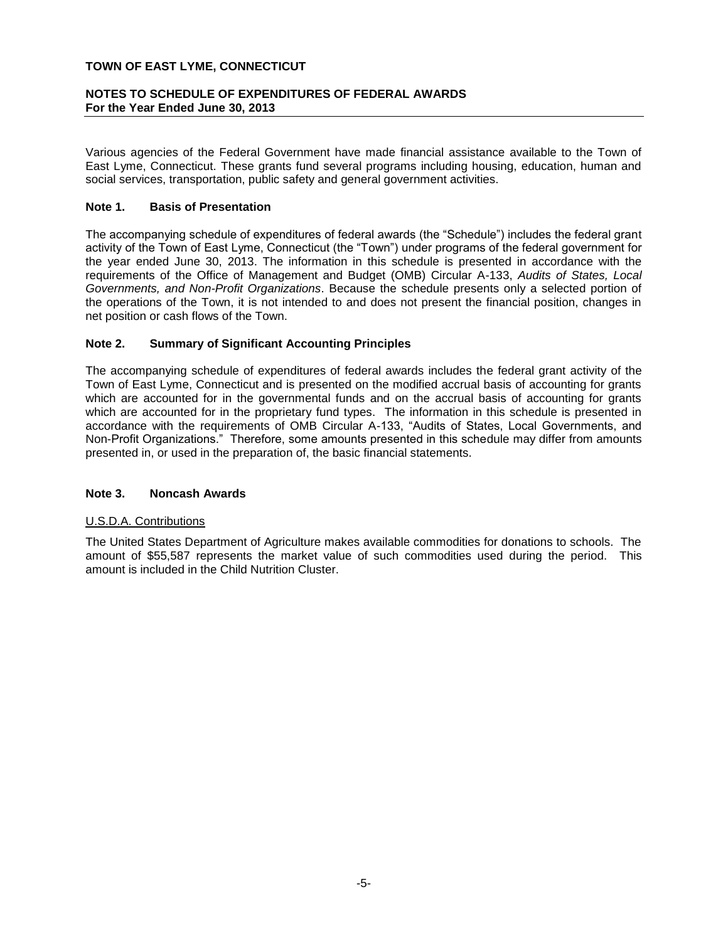# **NOTES TO SCHEDULE OF EXPENDITURES OF FEDERAL AWARDS For the Year Ended June 30, 2013**

Various agencies of the Federal Government have made financial assistance available to the Town of East Lyme, Connecticut. These grants fund several programs including housing, education, human and social services, transportation, public safety and general government activities.

# **Note 1. Basis of Presentation**

The accompanying schedule of expenditures of federal awards (the "Schedule") includes the federal grant activity of the Town of East Lyme, Connecticut (the "Town") under programs of the federal government for the year ended June 30, 2013. The information in this schedule is presented in accordance with the requirements of the Office of Management and Budget (OMB) Circular A-133, *Audits of States, Local Governments, and Non-Profit Organizations*. Because the schedule presents only a selected portion of the operations of the Town, it is not intended to and does not present the financial position, changes in net position or cash flows of the Town.

# **Note 2. Summary of Significant Accounting Principles**

The accompanying schedule of expenditures of federal awards includes the federal grant activity of the Town of East Lyme, Connecticut and is presented on the modified accrual basis of accounting for grants which are accounted for in the governmental funds and on the accrual basis of accounting for grants which are accounted for in the proprietary fund types. The information in this schedule is presented in accordance with the requirements of OMB Circular A-133, "Audits of States, Local Governments, and Non-Profit Organizations." Therefore, some amounts presented in this schedule may differ from amounts presented in, or used in the preparation of, the basic financial statements.

## **Note 3. Noncash Awards**

## U.S.D.A. Contributions

The United States Department of Agriculture makes available commodities for donations to schools. The amount of \$55,587 represents the market value of such commodities used during the period. This amount is included in the Child Nutrition Cluster.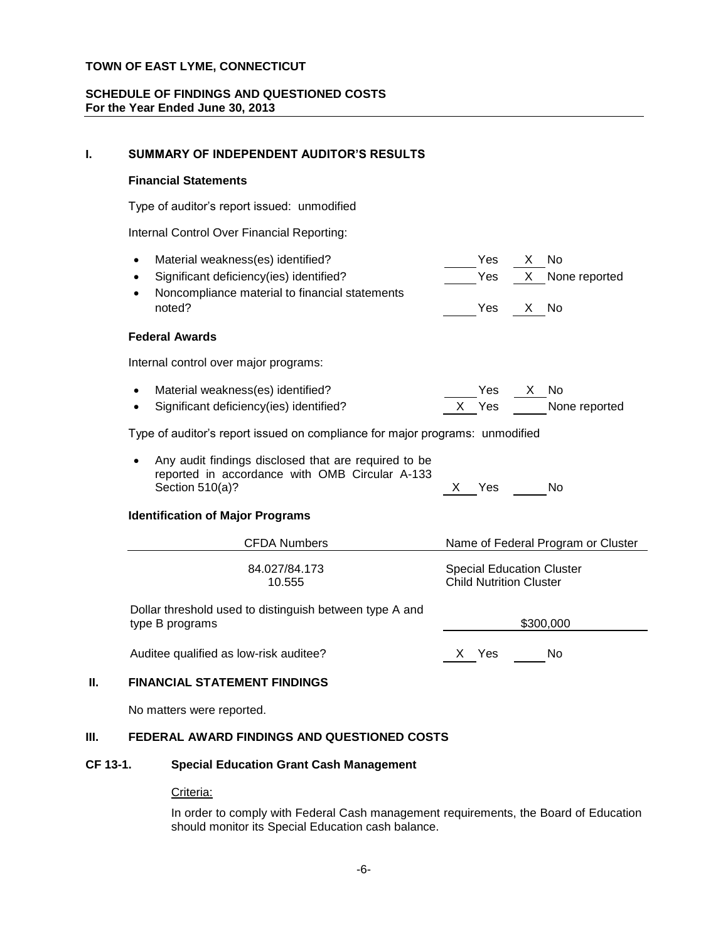# **SCHEDULE OF FINDINGS AND QUESTIONED COSTS For the Year Ended June 30, 2013**

# **I. SUMMARY OF INDEPENDENT AUDITOR'S RESULTS**

## **Financial Statements**

Type of auditor's report issued: unmodified

Internal Control Over Financial Reporting:

| Material weakness(es) identified?<br>Significant deficiency(ies) identified?<br>$\bullet$<br>Noncompliance material to financial statements<br>$\bullet$<br>noted? | No.<br>Yes<br>X.<br>X None reported<br>Yes<br>Yes<br>X No          |  |  |  |
|--------------------------------------------------------------------------------------------------------------------------------------------------------------------|--------------------------------------------------------------------|--|--|--|
| <b>Federal Awards</b>                                                                                                                                              |                                                                    |  |  |  |
| Internal control over major programs:                                                                                                                              |                                                                    |  |  |  |
| Material weakness(es) identified?<br>$\bullet$<br>Significant deficiency(ies) identified?<br>$\bullet$                                                             | X No<br>Yes<br>X Yes<br>None reported                              |  |  |  |
| Type of auditor's report issued on compliance for major programs: unmodified                                                                                       |                                                                    |  |  |  |
| Any audit findings disclosed that are required to be<br>$\bullet$<br>reported in accordance with OMB Circular A-133<br>Section 510(a)?                             | X Yes<br>No                                                        |  |  |  |
| <b>Identification of Major Programs</b>                                                                                                                            |                                                                    |  |  |  |
| <b>CFDA Numbers</b>                                                                                                                                                | Name of Federal Program or Cluster                                 |  |  |  |
| 84.027/84.173<br>10.555                                                                                                                                            | <b>Special Education Cluster</b><br><b>Child Nutrition Cluster</b> |  |  |  |
| Dollar threshold used to distinguish between type A and<br>type B programs                                                                                         | \$300,000                                                          |  |  |  |
| Auditee qualified as low-risk auditee?                                                                                                                             | <b>Yes</b><br>No<br>x.                                             |  |  |  |

# **II. FINANCIAL STATEMENT FINDINGS**

No matters were reported.

# **III. FEDERAL AWARD FINDINGS AND QUESTIONED COSTS**

# **CF 13-1. Special Education Grant Cash Management**

#### Criteria:

In order to comply with Federal Cash management requirements, the Board of Education should monitor its Special Education cash balance.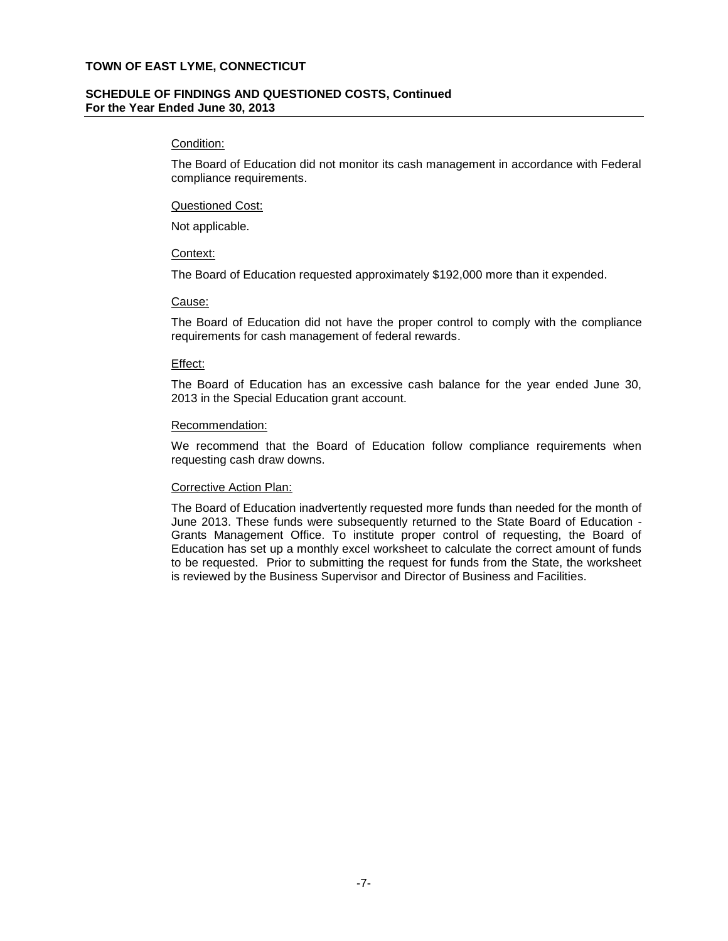#### **SCHEDULE OF FINDINGS AND QUESTIONED COSTS, Continued For the Year Ended June 30, 2013**

# Condition:

The Board of Education did not monitor its cash management in accordance with Federal compliance requirements.

#### Questioned Cost:

Not applicable.

#### Context:

The Board of Education requested approximately \$192,000 more than it expended.

#### Cause:

The Board of Education did not have the proper control to comply with the compliance requirements for cash management of federal rewards.

#### Effect:

The Board of Education has an excessive cash balance for the year ended June 30, 2013 in the Special Education grant account.

#### Recommendation:

We recommend that the Board of Education follow compliance requirements when requesting cash draw downs.

## Corrective Action Plan:

The Board of Education inadvertently requested more funds than needed for the month of June 2013. These funds were subsequently returned to the State Board of Education - Grants Management Office. To institute proper control of requesting, the Board of Education has set up a monthly excel worksheet to calculate the correct amount of funds to be requested. Prior to submitting the request for funds from the State, the worksheet is reviewed by the Business Supervisor and Director of Business and Facilities.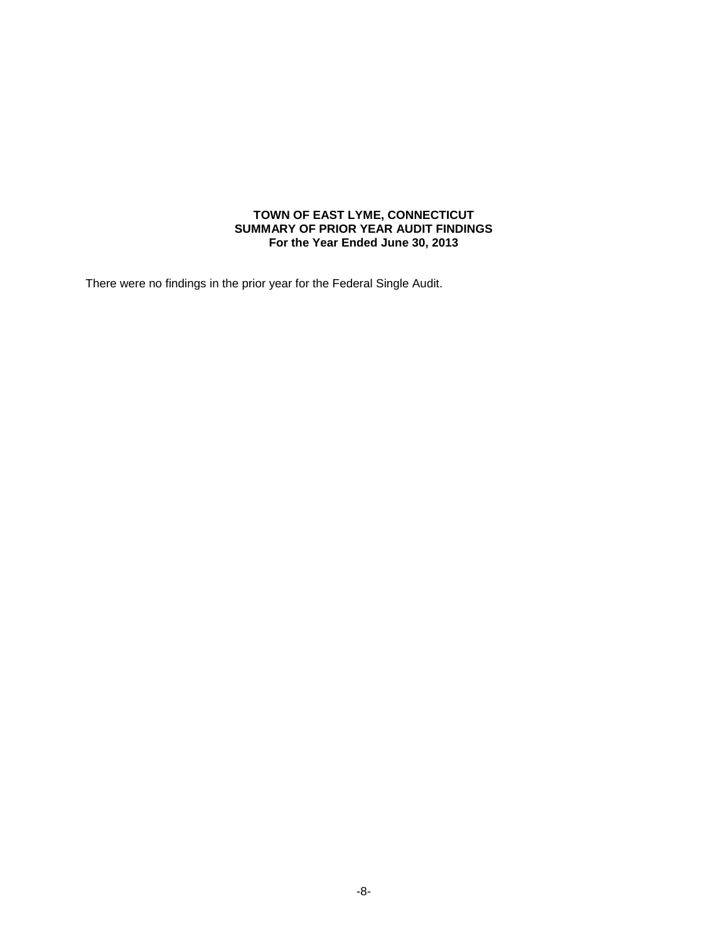## **TOWN OF EAST LYME, CONNECTICUT SUMMARY OF PRIOR YEAR AUDIT FINDINGS For the Year Ended June 30, 2013**

There were no findings in the prior year for the Federal Single Audit.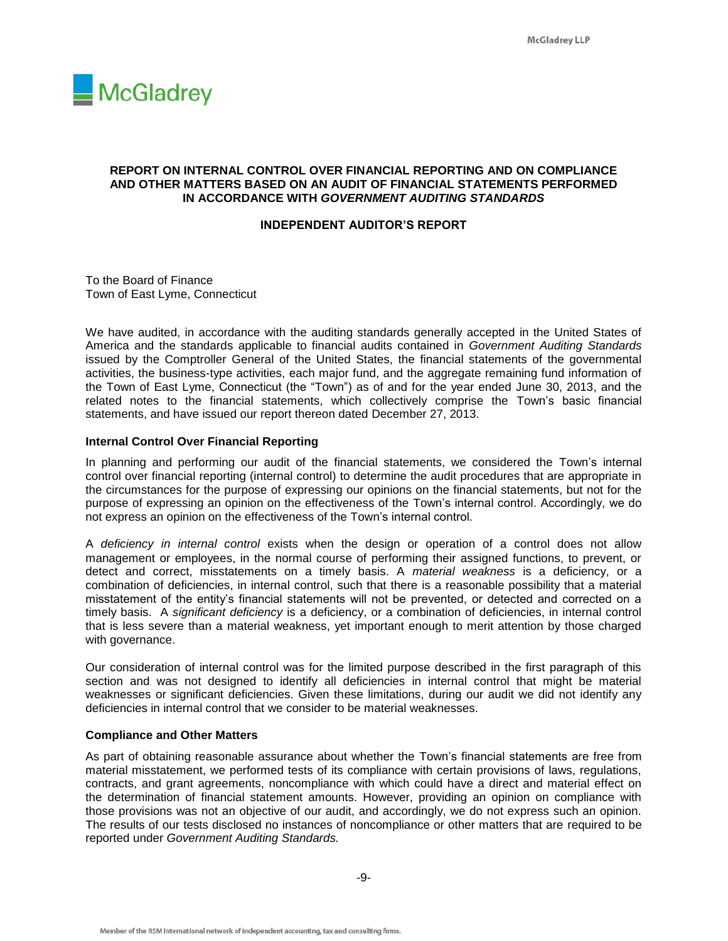

# **REPORT ON INTERNAL CONTROL OVER FINANCIAL REPORTING AND ON COMPLIANCE AND OTHER MATTERS BASED ON AN AUDIT OF FINANCIAL STATEMENTS PERFORMED IN ACCORDANCE WITH** *GOVERNMENT AUDITING STANDARDS*

# **INDEPENDENT AUDITOR'S REPORT**

To the Board of Finance Town of East Lyme, Connecticut

We have audited, in accordance with the auditing standards generally accepted in the United States of America and the standards applicable to financial audits contained in *Government Auditing Standards* issued by the Comptroller General of the United States, the financial statements of the governmental activities, the business-type activities, each major fund, and the aggregate remaining fund information of the Town of East Lyme, Connecticut (the "Town") as of and for the year ended June 30, 2013, and the related notes to the financial statements, which collectively comprise the Town's basic financial statements, and have issued our report thereon dated December 27, 2013.

#### **Internal Control Over Financial Reporting**

In planning and performing our audit of the financial statements, we considered the Town's internal control over financial reporting (internal control) to determine the audit procedures that are appropriate in the circumstances for the purpose of expressing our opinions on the financial statements, but not for the purpose of expressing an opinion on the effectiveness of the Town's internal control. Accordingly, we do not express an opinion on the effectiveness of the Town's internal control.

A *deficiency in internal control* exists when the design or operation of a control does not allow management or employees, in the normal course of performing their assigned functions, to prevent, or detect and correct, misstatements on a timely basis. A *material weakness* is a deficiency, or a combination of deficiencies, in internal control, such that there is a reasonable possibility that a material misstatement of the entity's financial statements will not be prevented, or detected and corrected on a timely basis. A *significant deficiency* is a deficiency, or a combination of deficiencies, in internal control that is less severe than a material weakness, yet important enough to merit attention by those charged with governance.

Our consideration of internal control was for the limited purpose described in the first paragraph of this section and was not designed to identify all deficiencies in internal control that might be material weaknesses or significant deficiencies. Given these limitations, during our audit we did not identify any deficiencies in internal control that we consider to be material weaknesses.

## **Compliance and Other Matters**

As part of obtaining reasonable assurance about whether the Town's financial statements are free from material misstatement, we performed tests of its compliance with certain provisions of laws, regulations, contracts, and grant agreements, noncompliance with which could have a direct and material effect on the determination of financial statement amounts. However, providing an opinion on compliance with those provisions was not an objective of our audit, and accordingly, we do not express such an opinion. The results of our tests disclosed no instances of noncompliance or other matters that are required to be reported under *Government Auditing Standards.*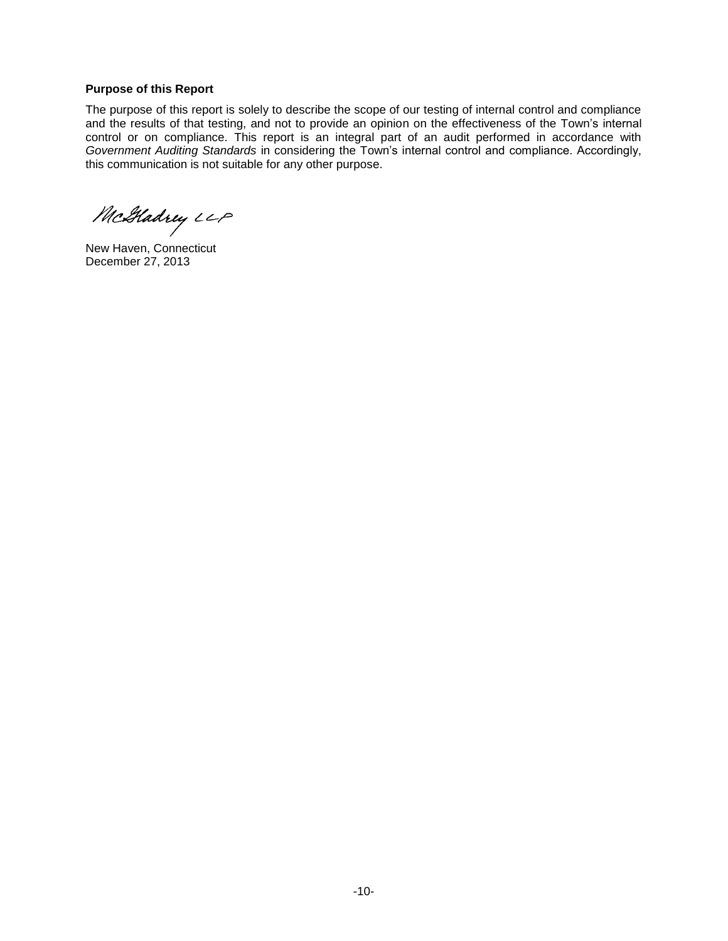# **Purpose of this Report**

The purpose of this report is solely to describe the scope of our testing of internal control and compliance and the results of that testing, and not to provide an opinion on the effectiveness of the Town's internal control or on compliance. This report is an integral part of an audit performed in accordance with *Government Auditing Standards* in considering the Town's internal control and compliance. Accordingly, this communication is not suitable for any other purpose.

McHadrey LLP

New Haven, Connecticut December 27, 2013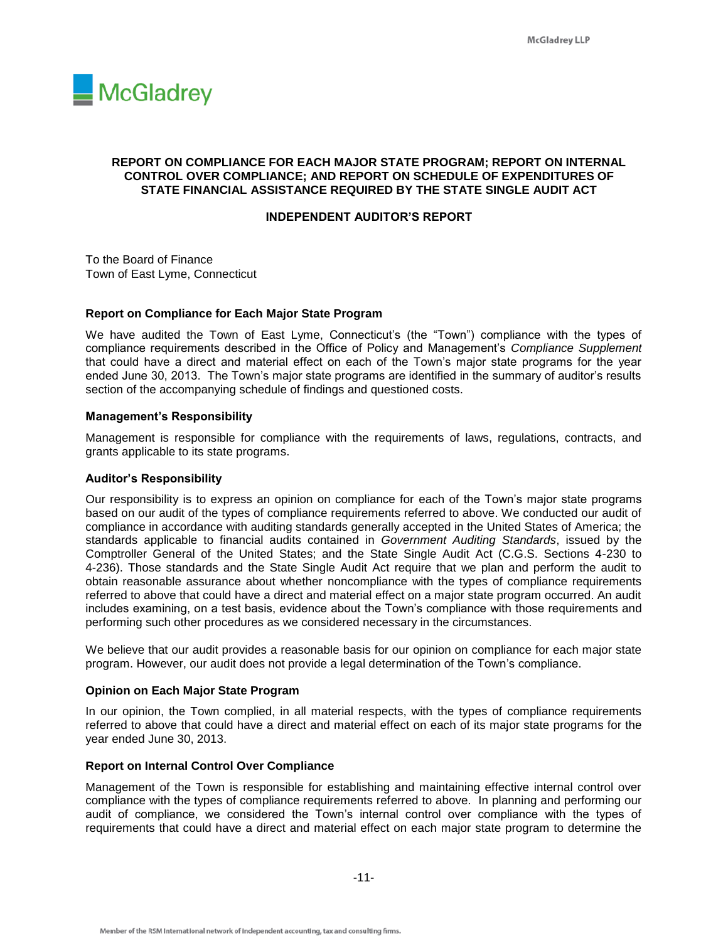

## **REPORT ON COMPLIANCE FOR EACH MAJOR STATE PROGRAM; REPORT ON INTERNAL CONTROL OVER COMPLIANCE; AND REPORT ON SCHEDULE OF EXPENDITURES OF STATE FINANCIAL ASSISTANCE REQUIRED BY THE STATE SINGLE AUDIT ACT**

#### **INDEPENDENT AUDITOR'S REPORT**

To the Board of Finance Town of East Lyme, Connecticut

#### **Report on Compliance for Each Major State Program**

We have audited the Town of East Lyme, Connecticut's (the "Town") compliance with the types of compliance requirements described in the Office of Policy and Management's *Compliance Supplement* that could have a direct and material effect on each of the Town's major state programs for the year ended June 30, 2013. The Town's major state programs are identified in the summary of auditor's results section of the accompanying schedule of findings and questioned costs.

#### **Management's Responsibility**

Management is responsible for compliance with the requirements of laws, regulations, contracts, and grants applicable to its state programs.

#### **Auditor's Responsibility**

Our responsibility is to express an opinion on compliance for each of the Town's major state programs based on our audit of the types of compliance requirements referred to above. We conducted our audit of compliance in accordance with auditing standards generally accepted in the United States of America; the standards applicable to financial audits contained in *Government Auditing Standards*, issued by the Comptroller General of the United States; and the State Single Audit Act (C.G.S. Sections 4-230 to 4-236). Those standards and the State Single Audit Act require that we plan and perform the audit to obtain reasonable assurance about whether noncompliance with the types of compliance requirements referred to above that could have a direct and material effect on a major state program occurred. An audit includes examining, on a test basis, evidence about the Town's compliance with those requirements and performing such other procedures as we considered necessary in the circumstances.

We believe that our audit provides a reasonable basis for our opinion on compliance for each major state program. However, our audit does not provide a legal determination of the Town's compliance.

#### **Opinion on Each Major State Program**

In our opinion, the Town complied, in all material respects, with the types of compliance requirements referred to above that could have a direct and material effect on each of its major state programs for the year ended June 30, 2013.

#### **Report on Internal Control Over Compliance**

Management of the Town is responsible for establishing and maintaining effective internal control over compliance with the types of compliance requirements referred to above. In planning and performing our audit of compliance, we considered the Town's internal control over compliance with the types of requirements that could have a direct and material effect on each major state program to determine the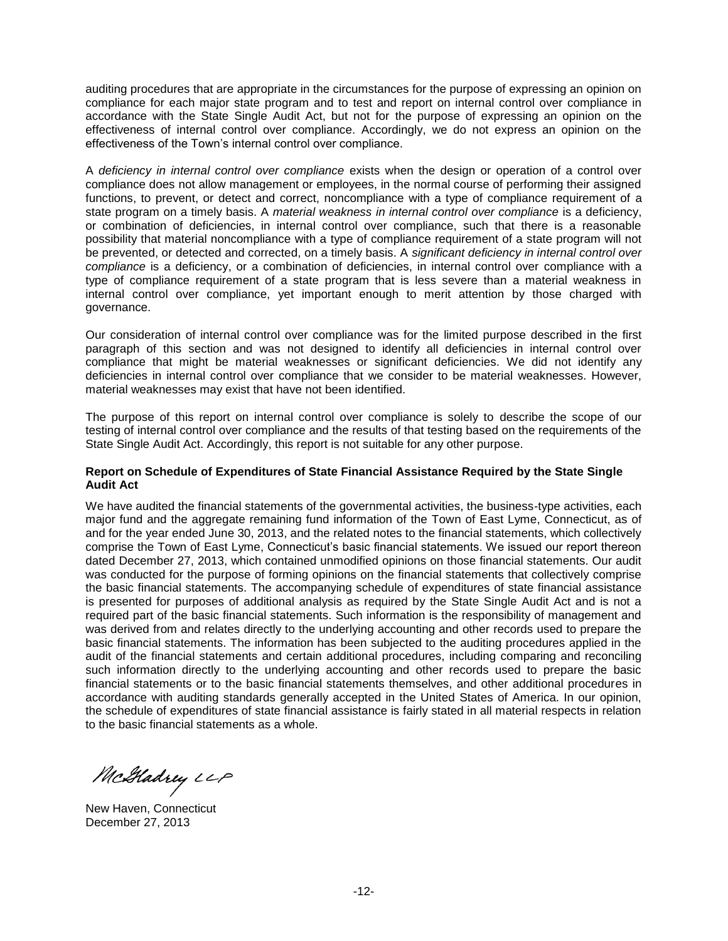auditing procedures that are appropriate in the circumstances for the purpose of expressing an opinion on compliance for each major state program and to test and report on internal control over compliance in accordance with the State Single Audit Act, but not for the purpose of expressing an opinion on the effectiveness of internal control over compliance. Accordingly, we do not express an opinion on the effectiveness of the Town's internal control over compliance.

A *deficiency in internal control over compliance* exists when the design or operation of a control over compliance does not allow management or employees, in the normal course of performing their assigned functions, to prevent, or detect and correct, noncompliance with a type of compliance requirement of a state program on a timely basis. A *material weakness in internal control over compliance* is a deficiency, or combination of deficiencies, in internal control over compliance, such that there is a reasonable possibility that material noncompliance with a type of compliance requirement of a state program will not be prevented, or detected and corrected, on a timely basis. A *significant deficiency in internal control over compliance* is a deficiency, or a combination of deficiencies, in internal control over compliance with a type of compliance requirement of a state program that is less severe than a material weakness in internal control over compliance, yet important enough to merit attention by those charged with governance.

Our consideration of internal control over compliance was for the limited purpose described in the first paragraph of this section and was not designed to identify all deficiencies in internal control over compliance that might be material weaknesses or significant deficiencies. We did not identify any deficiencies in internal control over compliance that we consider to be material weaknesses. However, material weaknesses may exist that have not been identified.

The purpose of this report on internal control over compliance is solely to describe the scope of our testing of internal control over compliance and the results of that testing based on the requirements of the State Single Audit Act. Accordingly, this report is not suitable for any other purpose.

#### **Report on Schedule of Expenditures of State Financial Assistance Required by the State Single Audit Act**

We have audited the financial statements of the governmental activities, the business-type activities, each major fund and the aggregate remaining fund information of the Town of East Lyme, Connecticut, as of and for the year ended June 30, 2013, and the related notes to the financial statements, which collectively comprise the Town of East Lyme, Connecticut's basic financial statements. We issued our report thereon dated December 27, 2013, which contained unmodified opinions on those financial statements. Our audit was conducted for the purpose of forming opinions on the financial statements that collectively comprise the basic financial statements. The accompanying schedule of expenditures of state financial assistance is presented for purposes of additional analysis as required by the State Single Audit Act and is not a required part of the basic financial statements. Such information is the responsibility of management and was derived from and relates directly to the underlying accounting and other records used to prepare the basic financial statements. The information has been subjected to the auditing procedures applied in the audit of the financial statements and certain additional procedures, including comparing and reconciling such information directly to the underlying accounting and other records used to prepare the basic financial statements or to the basic financial statements themselves, and other additional procedures in accordance with auditing standards generally accepted in the United States of America. In our opinion, the schedule of expenditures of state financial assistance is fairly stated in all material respects in relation to the basic financial statements as a whole.

McGladrey LLP

New Haven, Connecticut December 27, 2013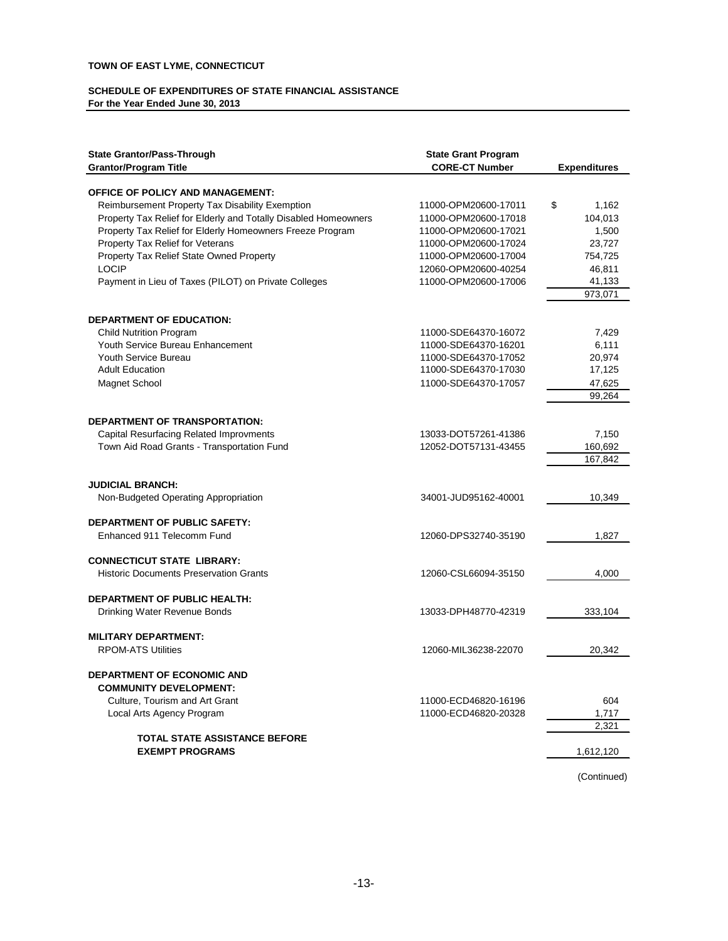#### **SCHEDULE OF EXPENDITURES OF STATE FINANCIAL ASSISTANCE For the Year Ended June 30, 2013**

| <b>State Grantor/Pass-Through</b><br><b>Grantor/Program Title</b> | <b>State Grant Program</b><br><b>CORE-CT Number</b> | <b>Expenditures</b> |
|-------------------------------------------------------------------|-----------------------------------------------------|---------------------|
| <b>OFFICE OF POLICY AND MANAGEMENT:</b>                           |                                                     |                     |
| Reimbursement Property Tax Disability Exemption                   | 11000-OPM20600-17011                                | \$<br>1.162         |
| Property Tax Relief for Elderly and Totally Disabled Homeowners   | 11000-OPM20600-17018                                | 104,013             |
| Property Tax Relief for Elderly Homeowners Freeze Program         | 11000-OPM20600-17021                                | 1,500               |
| Property Tax Relief for Veterans                                  | 11000-OPM20600-17024                                | 23,727              |
| Property Tax Relief State Owned Property                          | 11000-OPM20600-17004                                | 754,725             |
| <b>LOCIP</b>                                                      | 12060-OPM20600-40254                                | 46,811              |
| Payment in Lieu of Taxes (PILOT) on Private Colleges              | 11000-OPM20600-17006                                | 41,133              |
|                                                                   |                                                     | 973,071             |
|                                                                   |                                                     |                     |
| <b>DEPARTMENT OF EDUCATION:</b>                                   |                                                     |                     |
| <b>Child Nutrition Program</b>                                    | 11000-SDE64370-16072                                | 7,429               |
| Youth Service Bureau Enhancement                                  | 11000-SDE64370-16201                                | 6,111               |
| Youth Service Bureau                                              | 11000-SDE64370-17052                                | 20,974              |
| <b>Adult Education</b>                                            | 11000-SDE64370-17030                                | 17,125              |
| Magnet School                                                     | 11000-SDE64370-17057                                | 47,625              |
|                                                                   |                                                     | 99,264              |
| <b>DEPARTMENT OF TRANSPORTATION:</b>                              |                                                     |                     |
| <b>Capital Resurfacing Related Improvments</b>                    | 13033-DOT57261-41386                                | 7,150               |
| Town Aid Road Grants - Transportation Fund                        | 12052-DOT57131-43455                                | 160,692             |
|                                                                   |                                                     | 167,842             |
|                                                                   |                                                     |                     |
| <b>JUDICIAL BRANCH:</b>                                           |                                                     |                     |
| Non-Budgeted Operating Appropriation                              | 34001-JUD95162-40001                                | 10,349              |
| DEPARTMENT OF PUBLIC SAFETY:                                      |                                                     |                     |
| Enhanced 911 Telecomm Fund                                        | 12060-DPS32740-35190                                | 1,827               |
|                                                                   |                                                     |                     |
| <b>CONNECTICUT STATE LIBRARY:</b>                                 |                                                     |                     |
| <b>Historic Documents Preservation Grants</b>                     | 12060-CSL66094-35150                                | 4,000               |
|                                                                   |                                                     |                     |
| DEPARTMENT OF PUBLIC HEALTH:                                      |                                                     |                     |
| Drinking Water Revenue Bonds                                      | 13033-DPH48770-42319                                | 333,104             |
| <b>MILITARY DEPARTMENT:</b>                                       |                                                     |                     |
| <b>RPOM-ATS Utilities</b>                                         | 12060-MIL36238-22070                                | 20.342              |
|                                                                   |                                                     |                     |
| <b>DEPARTMENT OF ECONOMIC AND</b>                                 |                                                     |                     |
| <b>COMMUNITY DEVELOPMENT:</b>                                     |                                                     |                     |
| Culture, Tourism and Art Grant                                    | 11000-ECD46820-16196                                | 604                 |
| Local Arts Agency Program                                         | 11000-ECD46820-20328                                | 1,717               |
|                                                                   |                                                     | 2,321               |
| TOTAL STATE ASSISTANCE BEFORE                                     |                                                     |                     |
| <b>EXEMPT PROGRAMS</b>                                            |                                                     | 1,612,120           |
|                                                                   |                                                     |                     |

(Continued)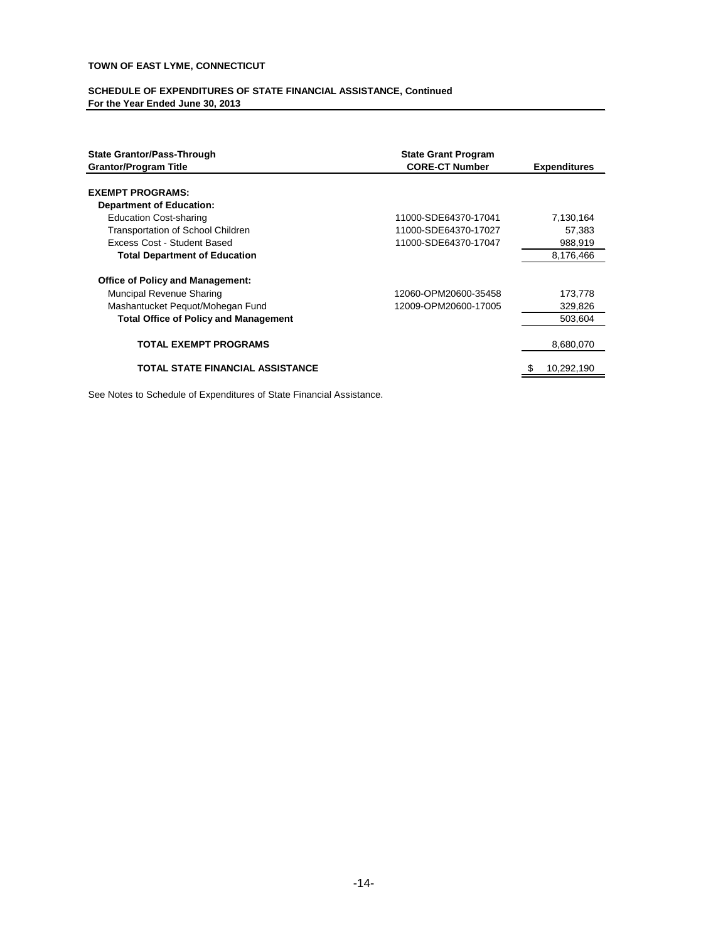## **SCHEDULE OF EXPENDITURES OF STATE FINANCIAL ASSISTANCE, Continued For the Year Ended June 30, 2013**

| <b>State Grantor/Pass-Through</b><br><b>Grantor/Program Title</b> | <b>State Grant Program</b><br><b>CORE-CT Number</b> | <b>Expenditures</b> |
|-------------------------------------------------------------------|-----------------------------------------------------|---------------------|
|                                                                   |                                                     |                     |
| <b>EXEMPT PROGRAMS:</b>                                           |                                                     |                     |
| <b>Department of Education:</b>                                   |                                                     |                     |
| <b>Education Cost-sharing</b>                                     | 11000-SDE64370-17041                                | 7,130,164           |
| <b>Transportation of School Children</b>                          | 11000-SDE64370-17027                                | 57,383              |
| Excess Cost - Student Based                                       | 11000-SDE64370-17047                                | 988,919             |
| <b>Total Department of Education</b>                              |                                                     | 8,176,466           |
| <b>Office of Policy and Management:</b>                           |                                                     |                     |
| Muncipal Revenue Sharing                                          | 12060-OPM20600-35458                                | 173,778             |
| Mashantucket Pequot/Mohegan Fund                                  | 12009-OPM20600-17005                                | 329,826             |
| <b>Total Office of Policy and Management</b>                      |                                                     | 503,604             |
| <b>TOTAL EXEMPT PROGRAMS</b>                                      |                                                     | 8,680,070           |
| TOTAL STATE FINANCIAL ASSISTANCE                                  |                                                     | 10,292,190          |
|                                                                   |                                                     |                     |

See Notes to Schedule of Expenditures of State Financial Assistance.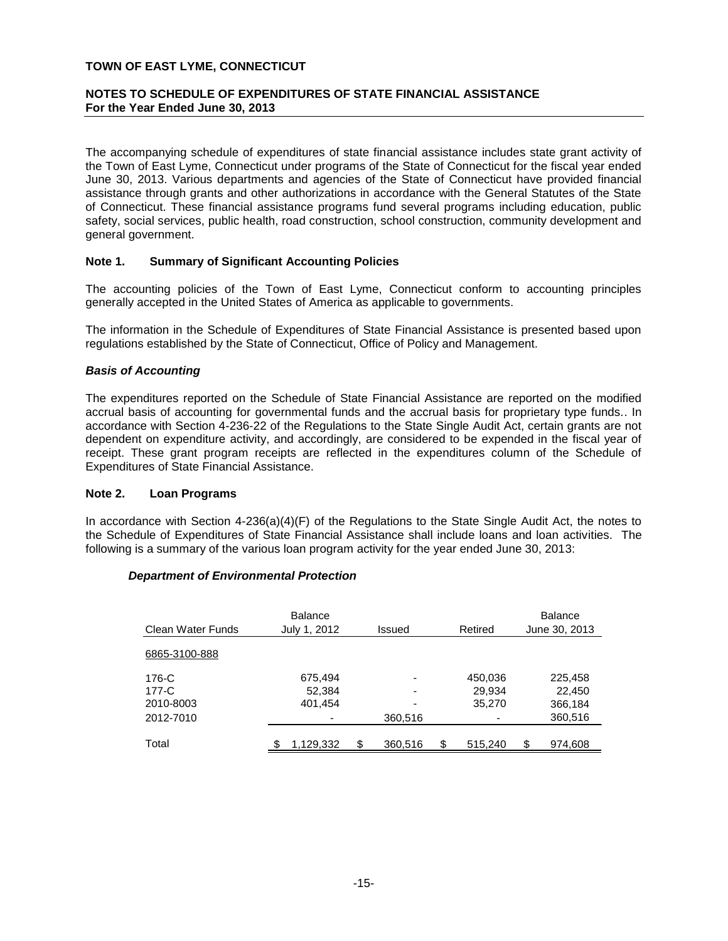# **NOTES TO SCHEDULE OF EXPENDITURES OF STATE FINANCIAL ASSISTANCE For the Year Ended June 30, 2013**

The accompanying schedule of expenditures of state financial assistance includes state grant activity of the Town of East Lyme, Connecticut under programs of the State of Connecticut for the fiscal year ended June 30, 2013. Various departments and agencies of the State of Connecticut have provided financial assistance through grants and other authorizations in accordance with the General Statutes of the State of Connecticut. These financial assistance programs fund several programs including education, public safety, social services, public health, road construction, school construction, community development and general government.

## **Note 1. Summary of Significant Accounting Policies**

The accounting policies of the Town of East Lyme, Connecticut conform to accounting principles generally accepted in the United States of America as applicable to governments.

The information in the Schedule of Expenditures of State Financial Assistance is presented based upon regulations established by the State of Connecticut, Office of Policy and Management.

#### *Basis of Accounting*

The expenditures reported on the Schedule of State Financial Assistance are reported on the modified accrual basis of accounting for governmental funds and the accrual basis for proprietary type funds.. In accordance with Section 4-236-22 of the Regulations to the State Single Audit Act, certain grants are not dependent on expenditure activity, and accordingly, are considered to be expended in the fiscal year of receipt. These grant program receipts are reflected in the expenditures column of the Schedule of Expenditures of State Financial Assistance.

#### **Note 2. Loan Programs**

In accordance with Section  $4-236(a)(4)(F)$  of the Regulations to the State Single Audit Act, the notes to the Schedule of Expenditures of State Financial Assistance shall include loans and loan activities. The following is a summary of the various loan program activity for the year ended June 30, 2013:

#### *Department of Environmental Protection*

|                   | <b>Balance</b>           |               |               | <b>Balance</b> |
|-------------------|--------------------------|---------------|---------------|----------------|
| Clean Water Funds | July 1, 2012             | Issued        | Retired       | June 30, 2013  |
| 6865-3100-888     |                          |               |               |                |
| 176-C             | 675,494                  |               | 450,036       | 225,458        |
| 177-C             | 52,384                   |               | 29,934        | 22,450         |
| 2010-8003         | 401,454                  |               | 35,270        | 366,184        |
| 2012-7010         | $\overline{\phantom{0}}$ | 360,516       |               | 360,516        |
| Total             | 1,129,332                | \$<br>360,516 | \$<br>515,240 | S<br>974,608   |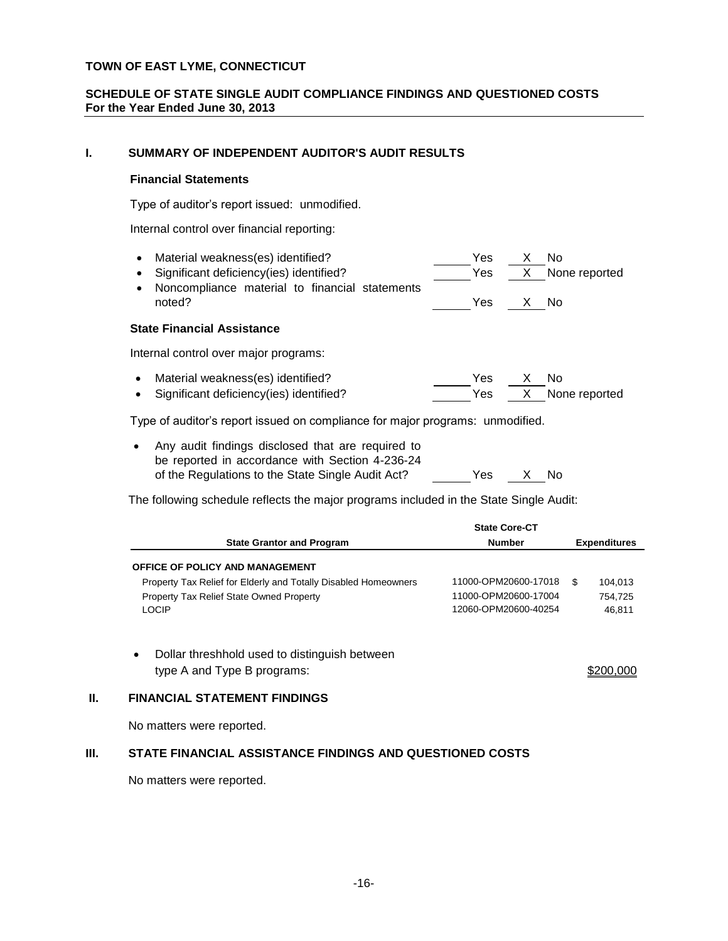# **SCHEDULE OF STATE SINGLE AUDIT COMPLIANCE FINDINGS AND QUESTIONED COSTS For the Year Ended June 30, 2013**

# **I. SUMMARY OF INDEPENDENT AUDITOR'S AUDIT RESULTS**

#### **Financial Statements**

Type of auditor's report issued: unmodified.

Internal control over financial reporting:

- Material weakness(es) identified? The Material Wes X No
- Significant deficiency(ies) identified? Yes X None reported
- Noncompliance material to financial statements noted? X No

## **State Financial Assistance**

Internal control over major programs:

• Material weakness(es) identified? The Material Wes X No • Significant deficiency(ies) identified?  $\overline{Y}$  Yes  $\overline{X}$  None reported

Type of auditor's report issued on compliance for major programs: unmodified.

 Any audit findings disclosed that are required to be reported in accordance with Section 4-236-24 of the Regulations to the State Single Audit Act? Yes X No

The following schedule reflects the major programs included in the State Single Audit:

| <b>State Core-CT</b>                                            |                      |                     |         |
|-----------------------------------------------------------------|----------------------|---------------------|---------|
| <b>State Grantor and Program</b>                                | <b>Number</b>        | <b>Expenditures</b> |         |
| <b>OFFICE OF POLICY AND MANAGEMENT</b>                          |                      |                     |         |
| Property Tax Relief for Elderly and Totally Disabled Homeowners | 11000-OPM20600-17018 |                     | 104.013 |
| <b>Property Tax Relief State Owned Property</b>                 | 11000-OPM20600-17004 |                     | 754.725 |
| LOCIP                                                           | 12060-OPM20600-40254 |                     | 46.811  |
|                                                                 |                      |                     |         |

 Dollar threshhold used to distinguish between type A and Type B programs:  $$200,000$ 

# **II. FINANCIAL STATEMENT FINDINGS**

No matters were reported.

## **III. STATE FINANCIAL ASSISTANCE FINDINGS AND QUESTIONED COSTS**

No matters were reported.